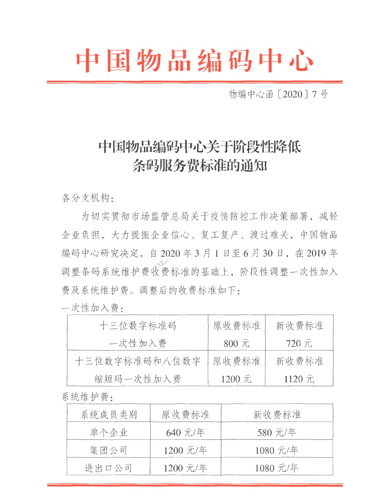## 中国物品编码中心

物编中心函〔2020〕7号

## 中国物品编码中心关于阶段性降低 条码服务费标准的通知

各分支机构:

为切实贯彻市场监管总局关于疫情防控工作决策部署,减轻 企业负担,大力提振企业信心、复工复产、渡过难关,中国物品 编码中心研究决定, 自2020年3月1日至6月30日, 在2019年 调整条码系统维护费收费标准的基础上,阶段性调整一次性加入 费及系统维护费。调整后的收费标准如下:

一次性加入费:

| 十三位数字标准码      | 原收费标准              | 新收费标准  |
|---------------|--------------------|--------|
| 一次性加入费        | $800 \frac{1}{11}$ | 720 元  |
| 十三位数字标准码和八位数字 | 原收费标准              | 新收费标准  |
| 缩短码一次性加入费     | 1200 元             | 1120 元 |

系统维护费·

| 系统成员类别 | 原收费标准    | 新收费标准    |
|--------|----------|----------|
| 单个企业   | 640 元/年  | 580 元/年  |
| 集团公司   | 1200 元/年 | 1080 元/年 |
| 进出口公司  | 1200 元/年 | 1080 元/年 |